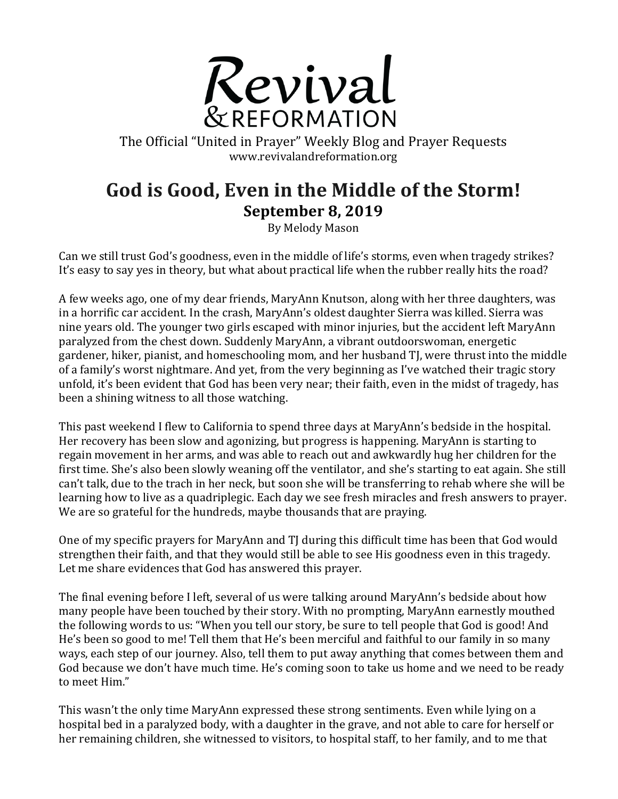

The Official "United in Prayer" Weekly Blog and Prayer Requests www.revivalandreformation.org

## God is Good, Even in the Middle of the Storm! **September 8, 2019**

By Melody Mason

Can we still trust God's goodness, even in the middle of life's storms, even when tragedy strikes? It's easy to say yes in theory, but what about practical life when the rubber really hits the road?

A few weeks ago, one of my dear friends, MaryAnn Knutson, along with her three daughters, was in a horrific car accident. In the crash, MaryAnn's oldest daughter Sierra was killed. Sierra was nine years old. The younger two girls escaped with minor injuries, but the accident left MaryAnn paralyzed from the chest down. Suddenly MaryAnn, a vibrant outdoorswoman, energetic gardener, hiker, pianist, and homeschooling mom, and her husband TJ, were thrust into the middle of a family's worst nightmare. And yet, from the very beginning as I've watched their tragic story unfold, it's been evident that God has been very near; their faith, even in the midst of tragedy, has been a shining witness to all those watching.

This past weekend I flew to California to spend three days at MaryAnn's bedside in the hospital. Her recovery has been slow and agonizing, but progress is happening. MaryAnn is starting to regain movement in her arms, and was able to reach out and awkwardly hug her children for the first time. She's also been slowly weaning off the ventilator, and she's starting to eat again. She still can't talk, due to the trach in her neck, but soon she will be transferring to rehab where she will be learning how to live as a quadriplegic. Each day we see fresh miracles and fresh answers to prayer. We are so grateful for the hundreds, maybe thousands that are praying.

One of my specific prayers for MaryAnn and TJ during this difficult time has been that God would strengthen their faith, and that they would still be able to see His goodness even in this tragedy. Let me share evidences that God has answered this prayer.

The final evening before I left, several of us were talking around MaryAnn's bedside about how many people have been touched by their story. With no prompting, MaryAnn earnestly mouthed the following words to us: "When you tell our story, be sure to tell people that God is good! And He's been so good to me! Tell them that He's been merciful and faithful to our family in so many ways, each step of our journey. Also, tell them to put away anything that comes between them and God because we don't have much time. He's coming soon to take us home and we need to be ready to meet Him."

This wasn't the only time MaryAnn expressed these strong sentiments. Even while lying on a hospital bed in a paralyzed body, with a daughter in the grave, and not able to care for herself or her remaining children, she witnessed to visitors, to hospital staff, to her family, and to me that